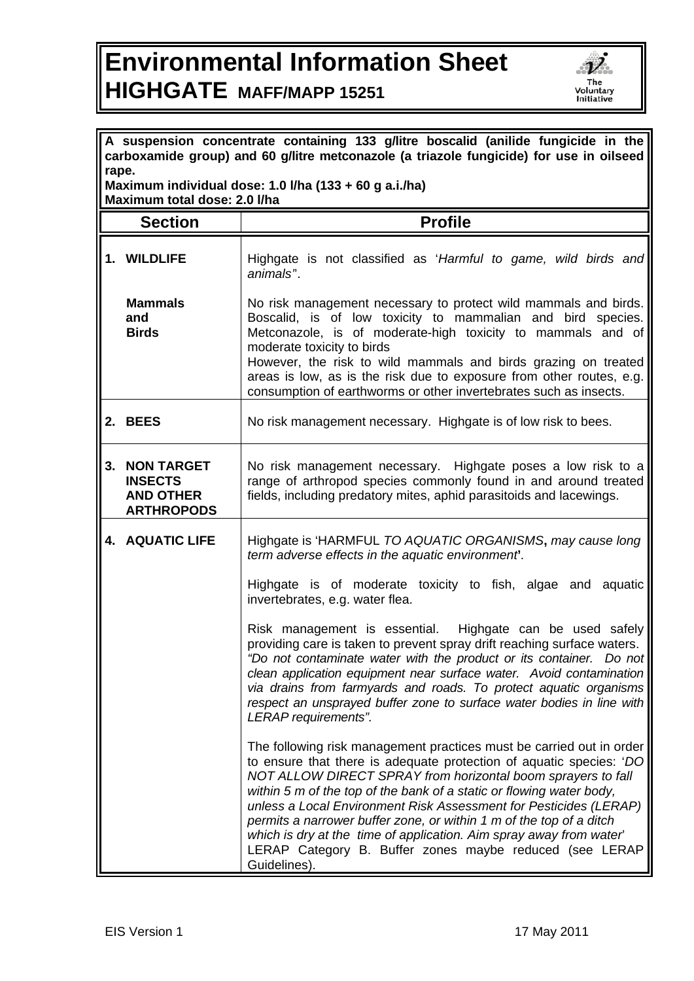## **Environmental Information Sheet HIGHGATE MAFF/MAPP 15251**



| A suspension concentrate containing 133 g/litre boscalid (anilide fungicide in the<br>carboxamide group) and 60 g/litre metconazole (a triazole fungicide) for use in oilseed |                                                                              |                                                                                                                                                                                                                                                                                                                                                                                                                                                                                                                                                                                   |  |
|-------------------------------------------------------------------------------------------------------------------------------------------------------------------------------|------------------------------------------------------------------------------|-----------------------------------------------------------------------------------------------------------------------------------------------------------------------------------------------------------------------------------------------------------------------------------------------------------------------------------------------------------------------------------------------------------------------------------------------------------------------------------------------------------------------------------------------------------------------------------|--|
| rape.<br>Maximum individual dose: 1.0 I/ha (133 + 60 g a.i./ha)<br>Maximum total dose: 2.0 I/ha                                                                               |                                                                              |                                                                                                                                                                                                                                                                                                                                                                                                                                                                                                                                                                                   |  |
|                                                                                                                                                                               | <b>Section</b>                                                               | <b>Profile</b>                                                                                                                                                                                                                                                                                                                                                                                                                                                                                                                                                                    |  |
|                                                                                                                                                                               | 1. WILDLIFE                                                                  | Highgate is not classified as 'Harmful to game, wild birds and<br>animals".                                                                                                                                                                                                                                                                                                                                                                                                                                                                                                       |  |
|                                                                                                                                                                               | <b>Mammals</b><br>and<br><b>Birds</b>                                        | No risk management necessary to protect wild mammals and birds.<br>Boscalid, is of low toxicity to mammalian and bird species.<br>Metconazole, is of moderate-high toxicity to mammals and of<br>moderate toxicity to birds<br>However, the risk to wild mammals and birds grazing on treated<br>areas is low, as is the risk due to exposure from other routes, e.g.<br>consumption of earthworms or other invertebrates such as insects.                                                                                                                                        |  |
|                                                                                                                                                                               | 2. BEES                                                                      | No risk management necessary. Highgate is of low risk to bees.                                                                                                                                                                                                                                                                                                                                                                                                                                                                                                                    |  |
| 3.                                                                                                                                                                            | <b>NON TARGET</b><br><b>INSECTS</b><br><b>AND OTHER</b><br><b>ARTHROPODS</b> | No risk management necessary. Highgate poses a low risk to a<br>range of arthropod species commonly found in and around treated<br>fields, including predatory mites, aphid parasitoids and lacewings.                                                                                                                                                                                                                                                                                                                                                                            |  |
|                                                                                                                                                                               | <b>4. AQUATIC LIFE</b>                                                       | Highgate is 'HARMFUL TO AQUATIC ORGANISMS, may cause long<br>term adverse effects in the aquatic environment.                                                                                                                                                                                                                                                                                                                                                                                                                                                                     |  |
|                                                                                                                                                                               |                                                                              | Highgate is of moderate toxicity to fish, algae and aquatic<br>invertebrates, e.g. water flea.                                                                                                                                                                                                                                                                                                                                                                                                                                                                                    |  |
|                                                                                                                                                                               |                                                                              | Risk management is essential. Highgate can be used safely<br>providing care is taken to prevent spray drift reaching surface waters.<br>"Do not contaminate water with the product or its container. Do not<br>clean application equipment near surface water. Avoid contamination<br>via drains from farmyards and roads. To protect aquatic organisms<br>respect an unsprayed buffer zone to surface water bodies in line with<br>LERAP requirements".                                                                                                                          |  |
|                                                                                                                                                                               |                                                                              | The following risk management practices must be carried out in order<br>to ensure that there is adequate protection of aquatic species: 'DO<br>NOT ALLOW DIRECT SPRAY from horizontal boom sprayers to fall<br>within 5 m of the top of the bank of a static or flowing water body,<br>unless a Local Environment Risk Assessment for Pesticides (LERAP)<br>permits a narrower buffer zone, or within 1 m of the top of a ditch<br>which is dry at the time of application. Aim spray away from water'<br>LERAP Category B. Buffer zones maybe reduced (see LERAP<br>Guidelines). |  |